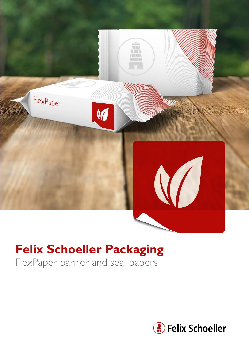

# **Felix Schoeller Packaging**

FlexPaper barrier and seal papers

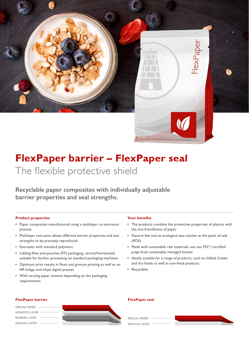

**Recyclable paper composites with individually adjustable barrier properties and seal strengths.**

### **Product properties**

- **•** Paper composites manufactured using a multilayer co-extrusion process
- Multilayer extrusion allows different barrier properties and seal strengths to be precisely reproduced
- Extrusion with standard polymers
- Lidding films and pouches (FFS packaging, vertical/horizontal) suitable for further processing on standard packaging machines
- Optimum print results in flexo and gravure printing as well as on HP Indigo and inkjet digital presses
- With varying paper content depending on the packaging requirements

### **Your benefits**

**•** The products combine the protective properties of plastics with the eco-friendliness of paper

 $ex$ Paper

- **•** Natural feel and an ecological eye-catcher at the point of sale (POS)
- **•** Made with sustainable raw materials: use von FSC®-certified pulps from sustainably managed forests
- **•** Ideally suitable for a range of products, such as chilled, frozen and dry foods as well as non-food products
- **•** Recyclable



#### **FlexPaper barrier FlexPaper seal**

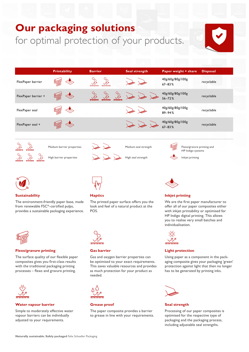## **Our packaging solutions**  for optimal protection of your products.







#### **Sustainability**

The environment-friendly paper base, made from renewable FSC®-certified pulps, provides a sustainable packaging experience.



## **Flexo/gravure printing**

The surface quality of our flexible paper composites gives you first-class results with the traditional packaging printing processes – flexo and gravure printing.



## **Water vapour barrier**

Simple to moderately effective water vapour barriers can be individually adjusted to your requirements.



## **Haptics**

The printed paper surface offers you the look and feel of a natural product at the POS.



## **Gas barrier**

Gas and oxygen barrier properties can be optimised to your exact requirements. This saves valuable resources and provides as much protection for your product as needed.



## **Grease proof**

The paper composite provides a barrier to grease in line with your requirements.



## **Inkjet printing**

We are the first paper manufacturer to offer all of our paper composites either with inkjet printability or optimised for HP Indigo digital printing. This allows you to realise very small batches and individualisation.



## **Light protection**

Using paper as a component in the packaging composite gives your packaging 'green' protection against light that then no longer has to be generated by printing inks.



**Seal strength**

Processing of our paper composites is optimised for the respective type of packaging and the packaging process, including adjustable seal strengths.